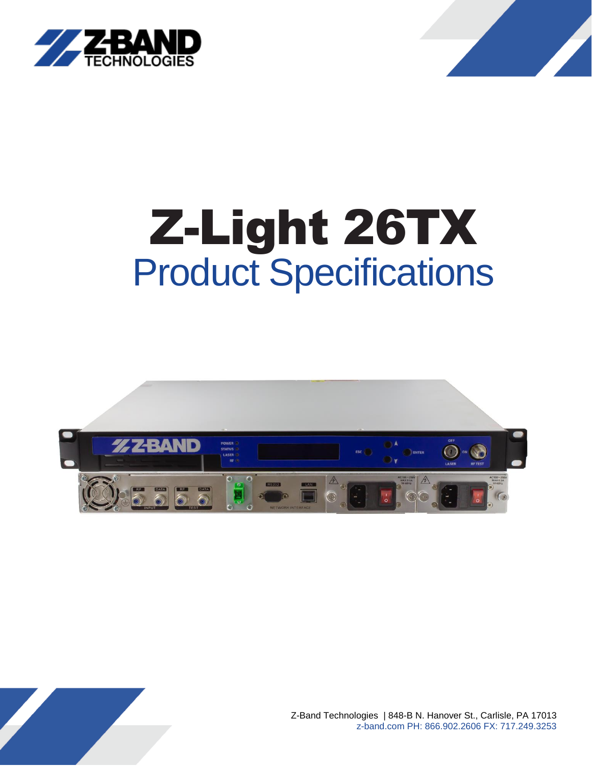



# Z-Light 26TX Product Specifications



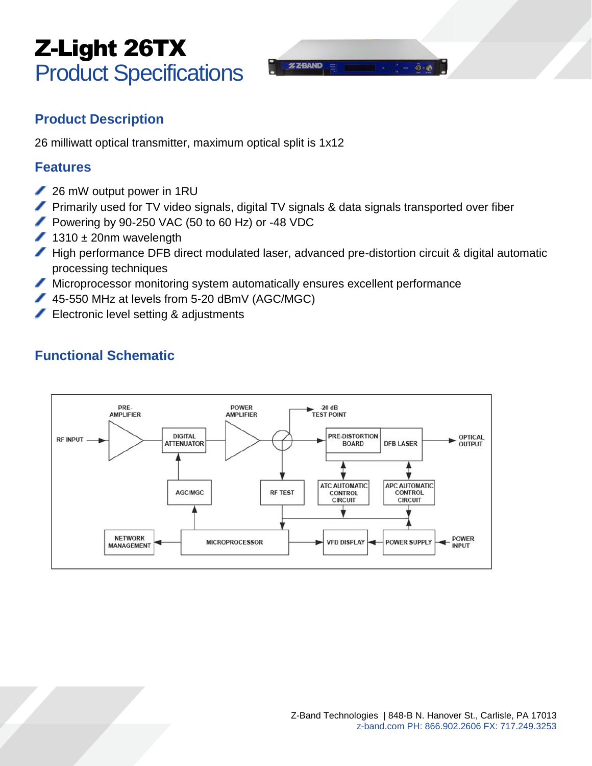## Z-Light 26TX Product Specifications



### **Product Description**

26 milliwatt optical transmitter, maximum optical split is 1x12

#### **Features**

- 26 mW output power in 1RU
- **Primarily used for TV video signals, digital TV signals & data signals transported over fiber**
- Powering by 90-250 VAC (50 to 60 Hz) or -48 VDC
- $1310 \pm 20$ nm wavelength
- High performance DFB direct modulated laser, advanced pre-distortion circuit & digital automatic processing techniques
- Microprocessor monitoring system automatically ensures excellent performance
- 45-550 MHz at levels from 5-20 dBmV (AGC/MGC)
- Electronic level setting & adjustments

## **Functional Schematic**